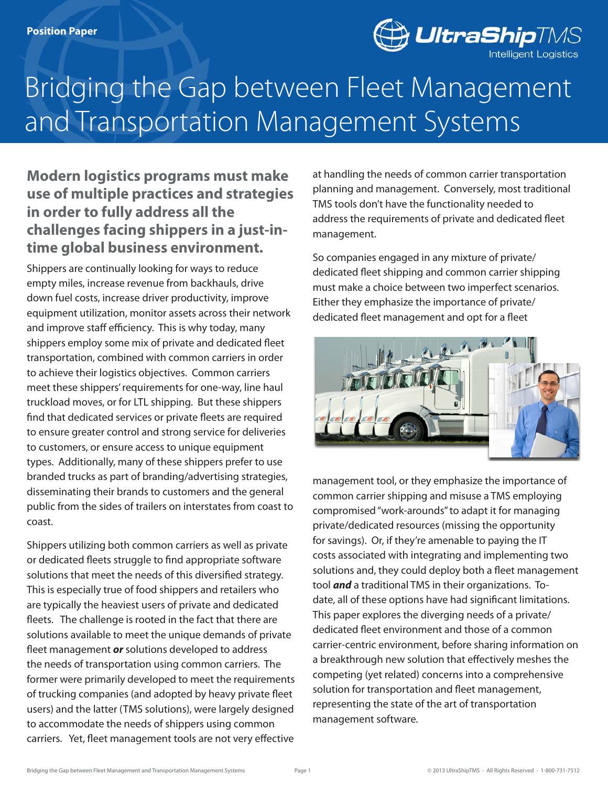

# and Transportation Management Systems Bridging the Gap between Fleet Management

## **Modern logistics programs must make use of multiple practices and strategies in order to fully address all the challenges facing shippers in a just-intime global business environment.**

Shippers are continually looking for ways to reduce empty miles, increase revenue from backhauls, drive down fuel costs, increase driver productivity, improve equipment utilization, monitor assets across their network and improve staff efficiency. This is why today, many shippers employ some mix of private and dedicated fleet transportation, combined with common carriers in order to achieve their logistics objectives. Common carriers meet these shippers' requirements for one-way, line haul truckload moves, or for LTL shipping. But these shippers find that dedicated services or private fleets are required to ensure greater control and strong service for deliveries to customers, or ensure access to unique equipment types. Additionally, many of these shippers prefer to use branded trucks as part of branding/advertising strategies, disseminating their brands to customers and the general public from the sides of trailers on interstates from coast to coast.

Shippers utilizing both common carriers as well as private or dedicated fleets struggle to find appropriate software solutions that meet the needs of this diversified strategy. This is especially true of food shippers and retailers who are typically the heaviest users of private and dedicated fleets. The challenge is rooted in the fact that there are solutions available to meet the unique demands of private fleet management *or* solutions developed to address the needs of transportation using common carriers. The former were primarily developed to meet the requirements of trucking companies (and adopted by heavy private fleet users) and the latter (TMS solutions), were largely designed to accommodate the needs of shippers using common carriers. Yet, fleet management tools are not very effective at handling the needs of common carrier transportation planning and management. Conversely, most traditional TMS tools don't have the functionality needed to address the requirements of private and dedicated fleet management.

So companies engaged in any mixture of private/ dedicated fleet shipping and common carrier shipping must make a choice between two imperfect scenarios. Either they emphasize the importance of private/ dedicated fleet management and opt for a fleet



management tool, or they emphasize the importance of common carrier shipping and misuse a TMS employing compromised "work-arounds" to adapt it for managing private/dedicated resources (missing the opportunity for savings). Or, if they're amenable to paying the IT costs associated with integrating and implementing two solutions and, they could deploy both a fleet management tool *and* a traditional TMS in their organizations. Todate, all of these options have had significant limitations. This paper explores the diverging needs of a private/ dedicated fleet environment and those of a common carrier-centric environment, before sharing information on a breakthrough new solution that effectively meshes the competing (yet related) concerns into a comprehensive solution for transportation and fleet management, representing the state of the art of transportation management software.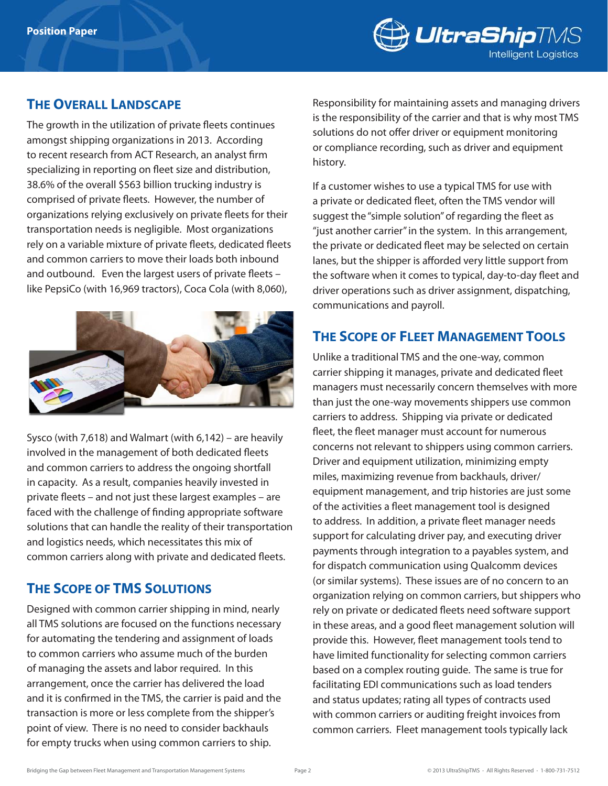

#### **The Overall Landscape**

The growth in the utilization of private fleets continues amongst shipping organizations in 2013. According to recent research from ACT Research, an analyst firm specializing in reporting on fleet size and distribution, 38.6% of the overall \$563 billion trucking industry is comprised of private fleets. However, the number of organizations relying exclusively on private fleets for their transportation needs is negligible. Most organizations rely on a variable mixture of private fleets, dedicated fleets and common carriers to move their loads both inbound and outbound. Even the largest users of private fleets – like PepsiCo (with 16,969 tractors), Coca Cola (with 8,060),



Sysco (with 7,618) and Walmart (with 6,142) – are heavily involved in the management of both dedicated fleets and common carriers to address the ongoing shortfall in capacity. As a result, companies heavily invested in private fleets – and not just these largest examples – are faced with the challenge of finding appropriate software solutions that can handle the reality of their transportation and logistics needs, which necessitates this mix of common carriers along with private and dedicated fleets.

#### **The Scope of TMS Solutions**

Designed with common carrier shipping in mind, nearly all TMS solutions are focused on the functions necessary for automating the tendering and assignment of loads to common carriers who assume much of the burden of managing the assets and labor required. In this arrangement, once the carrier has delivered the load and it is confirmed in the TMS, the carrier is paid and the transaction is more or less complete from the shipper's point of view. There is no need to consider backhauls for empty trucks when using common carriers to ship.

Responsibility for maintaining assets and managing drivers is the responsibility of the carrier and that is why most TMS solutions do not offer driver or equipment monitoring or compliance recording, such as driver and equipment history.

If a customer wishes to use a typical TMS for use with a private or dedicated fleet, often the TMS vendor will suggest the "simple solution" of regarding the fleet as "just another carrier" in the system. In this arrangement, the private or dedicated fleet may be selected on certain lanes, but the shipper is afforded very little support from the software when it comes to typical, day-to-day fleet and driver operations such as driver assignment, dispatching, communications and payroll.

### **The Scope of Fleet Management Tools**

Unlike a traditional TMS and the one-way, common carrier shipping it manages, private and dedicated fleet managers must necessarily concern themselves with more than just the one-way movements shippers use common carriers to address. Shipping via private or dedicated fleet, the fleet manager must account for numerous concerns not relevant to shippers using common carriers. Driver and equipment utilization, minimizing empty miles, maximizing revenue from backhauls, driver/ equipment management, and trip histories are just some of the activities a fleet management tool is designed to address. In addition, a private fleet manager needs support for calculating driver pay, and executing driver payments through integration to a payables system, and for dispatch communication using Qualcomm devices (or similar systems). These issues are of no concern to an organization relying on common carriers, but shippers who rely on private or dedicated fleets need software support in these areas, and a good fleet management solution will provide this. However, fleet management tools tend to have limited functionality for selecting common carriers based on a complex routing guide. The same is true for facilitating EDI communications such as load tenders and status updates; rating all types of contracts used with common carriers or auditing freight invoices from common carriers. Fleet management tools typically lack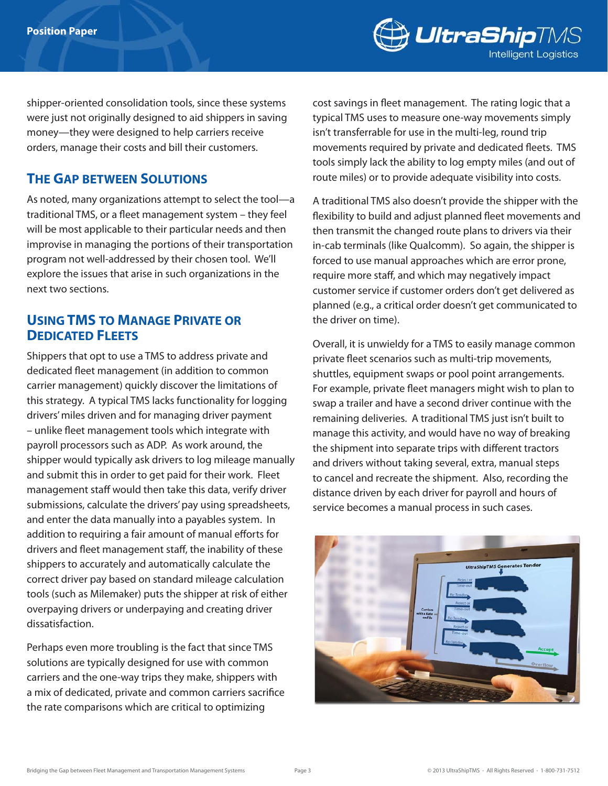

shipper-oriented consolidation tools, since these systems were just not originally designed to aid shippers in saving money—they were designed to help carriers receive orders, manage their costs and bill their customers.

#### **The Gap between Solutions**

As noted, many organizations attempt to select the tool—a traditional TMS, or a fleet management system – they feel will be most applicable to their particular needs and then improvise in managing the portions of their transportation program not well-addressed by their chosen tool. We'll explore the issues that arise in such organizations in the next two sections.

#### **Using TMS to Manage Private or Dedicated Fleets**

Shippers that opt to use a TMS to address private and dedicated fleet management (in addition to common carrier management) quickly discover the limitations of this strategy. A typical TMS lacks functionality for logging drivers' miles driven and for managing driver payment – unlike fleet management tools which integrate with payroll processors such as ADP. As work around, the shipper would typically ask drivers to log mileage manually and submit this in order to get paid for their work. Fleet management staff would then take this data, verify driver submissions, calculate the drivers' pay using spreadsheets, and enter the data manually into a payables system. In addition to requiring a fair amount of manual efforts for drivers and fleet management staff, the inability of these shippers to accurately and automatically calculate the correct driver pay based on standard mileage calculation tools (such as Milemaker) puts the shipper at risk of either overpaying drivers or underpaying and creating driver dissatisfaction.

Perhaps even more troubling is the fact that since TMS solutions are typically designed for use with common carriers and the one-way trips they make, shippers with a mix of dedicated, private and common carriers sacrifice the rate comparisons which are critical to optimizing

cost savings in fleet management. The rating logic that a typical TMS uses to measure one-way movements simply isn't transferrable for use in the multi-leg, round trip movements required by private and dedicated fleets. TMS tools simply lack the ability to log empty miles (and out of route miles) or to provide adequate visibility into costs.

A traditional TMS also doesn't provide the shipper with the flexibility to build and adjust planned fleet movements and then transmit the changed route plans to drivers via their in-cab terminals (like Qualcomm). So again, the shipper is forced to use manual approaches which are error prone, require more staff, and which may negatively impact customer service if customer orders don't get delivered as planned (e.g., a critical order doesn't get communicated to the driver on time).

Overall, it is unwieldy for a TMS to easily manage common private fleet scenarios such as multi-trip movements, shuttles, equipment swaps or pool point arrangements. For example, private fleet managers might wish to plan to swap a trailer and have a second driver continue with the remaining deliveries. A traditional TMS just isn't built to manage this activity, and would have no way of breaking the shipment into separate trips with different tractors and drivers without taking several, extra, manual steps to cancel and recreate the shipment. Also, recording the distance driven by each driver for payroll and hours of service becomes a manual process in such cases.

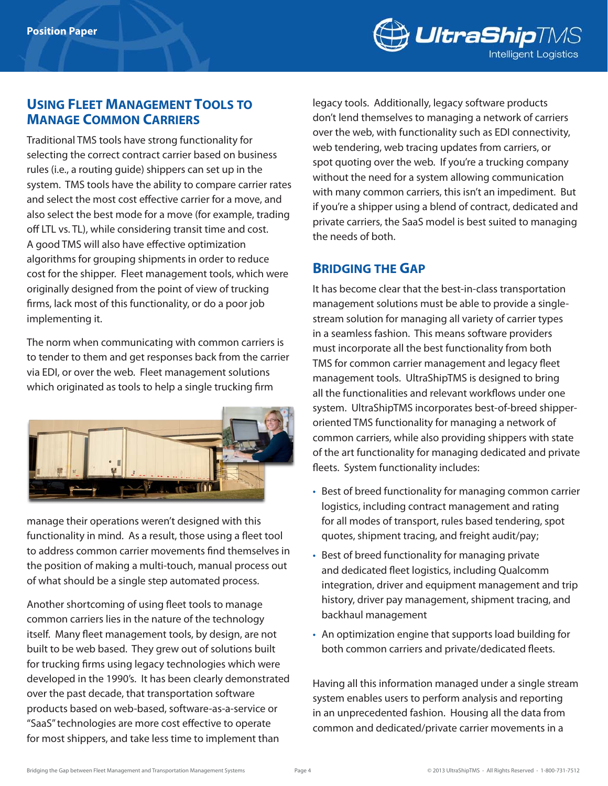

#### **Using Fleet Management Tools to Manage Common Carriers**

Traditional TMS tools have strong functionality for selecting the correct contract carrier based on business rules (i.e., a routing guide) shippers can set up in the system. TMS tools have the ability to compare carrier rates and select the most cost effective carrier for a move, and also select the best mode for a move (for example, trading off LTL vs. TL), while considering transit time and cost. A good TMS will also have effective optimization algorithms for grouping shipments in order to reduce cost for the shipper. Fleet management tools, which were originally designed from the point of view of trucking firms, lack most of this functionality, or do a poor job implementing it.

The norm when communicating with common carriers is to tender to them and get responses back from the carrier via EDI, or over the web. Fleet management solutions which originated as tools to help a single trucking firm



manage their operations weren't designed with this functionality in mind. As a result, those using a fleet tool to address common carrier movements find themselves in the position of making a multi-touch, manual process out of what should be a single step automated process.

Another shortcoming of using fleet tools to manage common carriers lies in the nature of the technology itself. Many fleet management tools, by design, are not built to be web based. They grew out of solutions built for trucking firms using legacy technologies which were developed in the 1990's. It has been clearly demonstrated over the past decade, that transportation software products based on web-based, software-as-a-service or "SaaS" technologies are more cost effective to operate for most shippers, and take less time to implement than

legacy tools. Additionally, legacy software products don't lend themselves to managing a network of carriers over the web, with functionality such as EDI connectivity, web tendering, web tracing updates from carriers, or spot quoting over the web. If you're a trucking company without the need for a system allowing communication with many common carriers, this isn't an impediment. But if you're a shipper using a blend of contract, dedicated and private carriers, the SaaS model is best suited to managing the needs of both.

#### **Bridging the Gap**

It has become clear that the best-in-class transportation management solutions must be able to provide a singlestream solution for managing all variety of carrier types in a seamless fashion. This means software providers must incorporate all the best functionality from both TMS for common carrier management and legacy fleet management tools. UltraShipTMS is designed to bring all the functionalities and relevant workflows under one system. UltraShipTMS incorporates best-of-breed shipperoriented TMS functionality for managing a network of common carriers, while also providing shippers with state of the art functionality for managing dedicated and private fleets. System functionality includes:

- Best of breed functionality for managing common carrier logistics, including contract management and rating for all modes of transport, rules based tendering, spot quotes, shipment tracing, and freight audit/pay;
- Best of breed functionality for managing private and dedicated fleet logistics, including Qualcomm integration, driver and equipment management and trip history, driver pay management, shipment tracing, and backhaul management
- An optimization engine that supports load building for both common carriers and private/dedicated fleets.

Having all this information managed under a single stream system enables users to perform analysis and reporting in an unprecedented fashion. Housing all the data from common and dedicated/private carrier movements in a